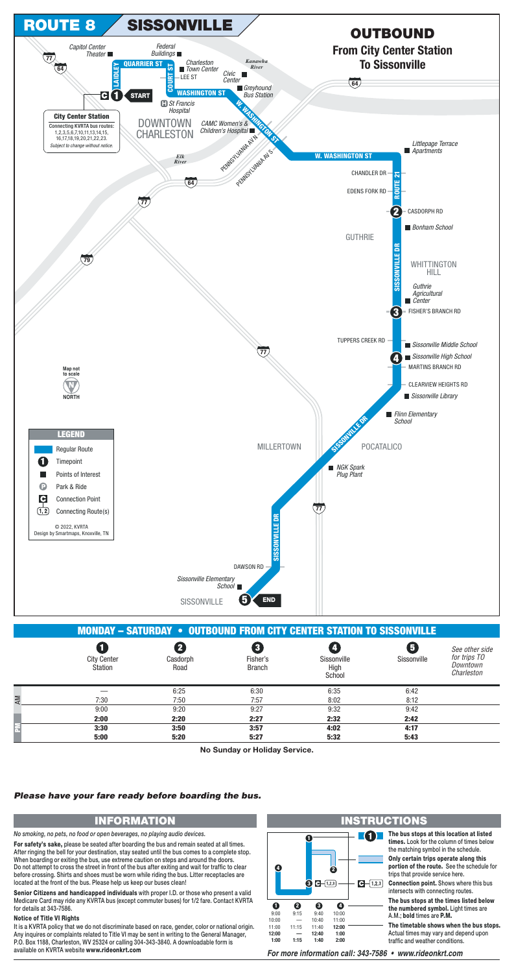**No Sunday or Holiday Service.**



|                                      | <b>MONDAY - SATURDAY • OUTBOUND FROM CITY CENTER STATION TO SISSONVILLE</b> |                                             |                               |             |                                                          |
|--------------------------------------|-----------------------------------------------------------------------------|---------------------------------------------|-------------------------------|-------------|----------------------------------------------------------|
| <b>City Center</b><br><b>Station</b> | Casdorph<br>Road                                                            | 3 <sup>1</sup><br>Fisher's<br><b>Branch</b> | Sissonville<br>High<br>School | Sissonville | See other side<br>for trips TO<br>Downtown<br>Charleston |

| –    | 6:25 | 6:30 | 6:35 | 6:42 |  |
|------|------|------|------|------|--|
| 7:30 | 7:50 | 7:57 | 8:02 | 8:12 |  |
| 9:00 | 9:20 | 9:27 | 9:32 | 9:42 |  |
| 2:00 | 2:20 | 2:27 | 2:32 | 2:42 |  |
| 3:30 | 3:50 | 3:57 | 4:02 | 4:17 |  |
| 5:00 | 5:20 | 5:27 | 5:32 | 5:43 |  |

It is a KVRTA policy that we do not discriminate based on race, gender, color or national origin. Any inquires or complaints related to Title VI may be sent in writing to the General Manager, P.O. Box 1188, Charleston, WV 25324 or calling 304-343-3840. A downloadable form is available on KVRTA website www.rideonkrt.com *For more information call: 343-7586 • www.rideonkrt.com* 

## **INFORMATION INSTRUCTIONS**

**The bus stops at this location at listed times.** Look for the column of times below the matching symbol in the schedule.

**Only certain trips operate along this portion of the route.** See the schedule for trips that provide service here.

**Connection point.** Shows where this bus intersects with connecting routes.



**The bus stops at the times listed below the numbered symbol.** Light times are A.M.; **bold** times are **P.M.**

**The timetable shows when the bus stops.** Actual times may vary and depend upon traffic and weather conditions.

*No smoking, no pets, no food or open beverages, no playing audio devices.*

**For safety's sake,** please be seated after boarding the bus and remain seated at all times. After ringing the bell for your destination, stay seated until the bus comes to a complete stop. When boarding or exiting the bus, use extreme caution on steps and around the doors. Do not attempt to cross the street in front of the bus after exiting and wait for traffic to clear before crossing. Shirts and shoes must be worn while riding the bus. Litter receptacles are located at the front of the bus. Please help us keep our buses clean!

**Senior Citizens and handicapped individuals** with proper I.D. or those who present a valid Medicare Card may ride any KVRTA bus (except commuter buses) for 1/2 fare. Contact KVRTA for details at 343-7586.

## **Notice of Title VI Rights**

## *Please have your fare ready before boarding the bus.*